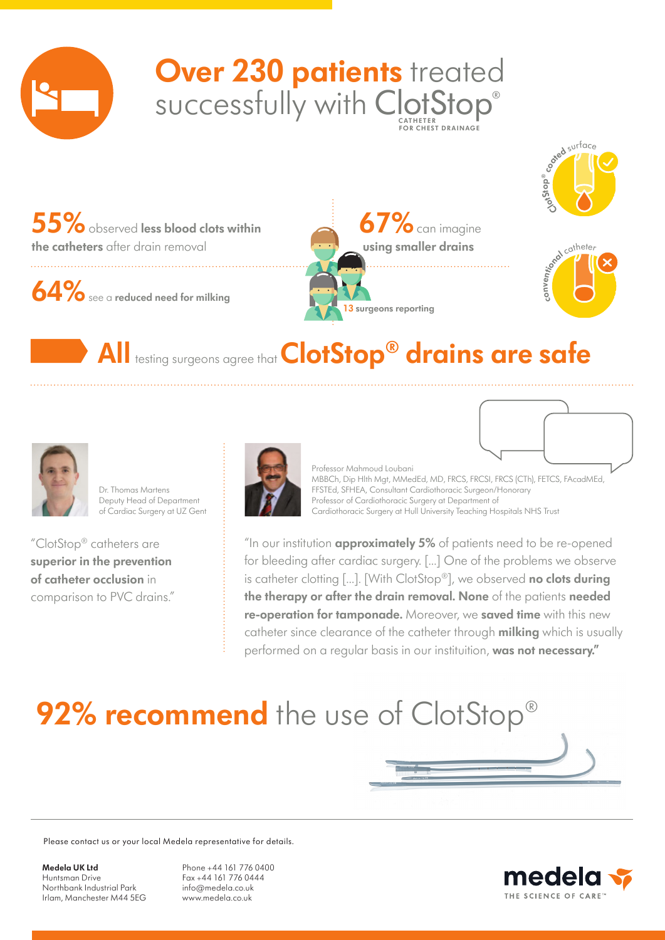

## SUCCESSfully with ClotStop® **FOR CHEST DRAINAGE Over 230 patients** treated



**55%**observed **less blood clots within the catheters** after drain removal

**64%**see a **reduced need for milking**

**67%**can imagine **using smaller drains 13 surgeons reporting**



## **All** testing surgeons agree that **ClotStop® drains are safe**



Dr. Thomas Martens Deputy Head of Department of Cardiac Surgery at UZ Gent

"ClotStop® catheters are **superior in the prevention of catheter occlusion** in comparison to PVC drains."



Professor Mahmoud Loubani MBBCh, Dip Hlth Mgt, MMedEd, MD, FRCS, FRCSI, FRCS (CTh), FETCS, FAcadMEd, FFSTEd, SFHEA, Consultant Cardiothoracic Surgeon/Honorary Professor of Cardiothoracic Surgery at Department of Cardiothoracic Surgery at Hull University Teaching Hospitals NHS Trust

"In our institution **approximately 5%** of patients need to be re-opened for bleeding after cardiac surgery. […] One of the problems we observe is catheter clotting […]. [With ClotStop®], we observed **no clots during the therapy or after the drain removal. None** of the patients **needed re-operation for tamponade.** Moreover, we **saved time** with this new catheter since clearance of the catheter through **milking** which is usually performed on a regular basis in our instituition, **was not necessary."**

## **92% recommend** the use of ClotStop®

Please contact us or your local Medela representative for details.

**Medela UK Ltd** Huntsman Drive Northbank Industrial Park Irlam, Manchester M44 5EG

Phone +44 161 776 0400 Fax +44 161 776 0444 info@medela.co.uk www.medela.co.uk